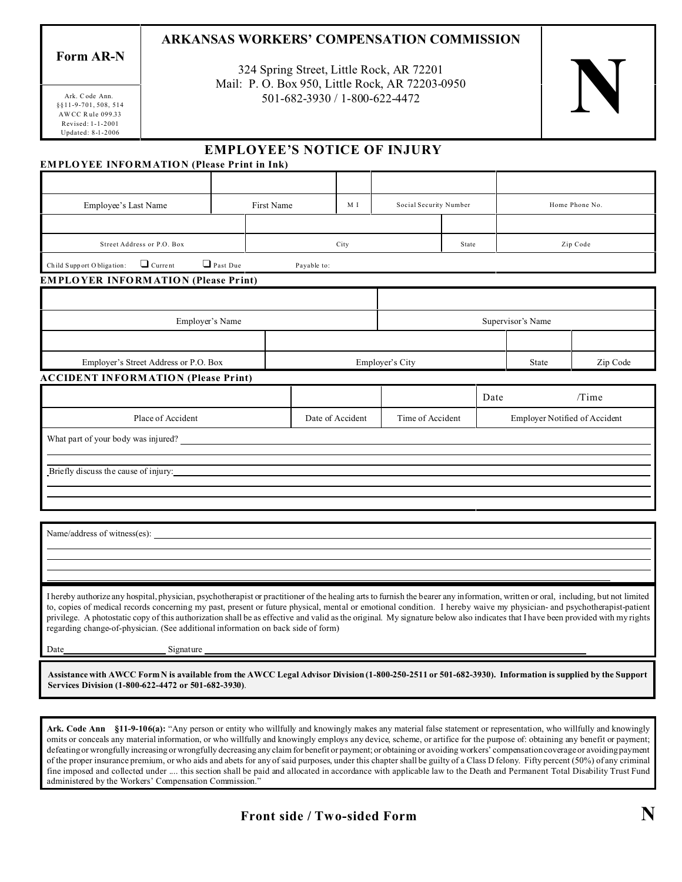## **ARKANSAS WORKERS' COMPENSATION COMMISSION**

**Form AR-N**

324 Spring Street, Little Rock, AR 72201 Mail: P. O. Box 950, Little Rock, AR 72203-0950 Spring Street, Little Rock, AR 72201<br>O. Box 950, Little Rock, AR 72203-0950<br>501-682-3930 / 1-800-622-4472



§§11-9-701, 508, 514 AW CC R ule 099. 33 Updated: 8- 1-2006 Revised: 1-1-2001 Ark. C ode Ann.

### **EMPLOYEE'S NOTICE OF INJURY**

#### **EMPLOYEE INFORMATION (Please Print in Ink)**

| Employee's Last Name                        |                 | First Name  | M I                                  | Social Security Number |      | Home Phone No.                       |       |
|---------------------------------------------|-----------------|-------------|--------------------------------------|------------------------|------|--------------------------------------|-------|
|                                             |                 |             |                                      |                        |      |                                      |       |
| Street Address or P.O. Box                  |                 | City        |                                      | State                  |      | Zip Code                             |       |
| $\Box$ Current<br>Child Support Obligation: | $\Box$ Past Due | Payable to: |                                      |                        |      |                                      |       |
| <b>EMPLOYER INFORMATION (Please Print)</b>  |                 |             |                                      |                        |      |                                      |       |
|                                             |                 |             |                                      |                        |      |                                      |       |
| Employer's Name                             |                 |             |                                      |                        |      | Supervisor's Name                    |       |
|                                             |                 |             |                                      |                        |      |                                      |       |
| Employer's Street Address or P.O. Box       |                 |             | Employer's City                      |                        |      | Zip Code                             |       |
| <b>ACCIDENT INFORMATION (Please Print)</b>  |                 |             |                                      |                        |      |                                      |       |
|                                             |                 |             |                                      |                        | Date |                                      | /Time |
| Place of Accident                           |                 |             | Date of Accident<br>Time of Accident |                        |      | <b>Employer Notified of Accident</b> |       |
| What part of your body was injured?         |                 |             |                                      |                        |      |                                      |       |
|                                             |                 |             |                                      |                        |      |                                      |       |
| Briefly discuss the cause of injury:        |                 |             |                                      |                        |      |                                      |       |
|                                             |                 |             |                                      |                        |      |                                      |       |

Name/address of witness(es):

 $\overline{a}$ l 

I hereby authorize any hospital, physician, psychotherapist or practitioner of the healing arts to furnish the bearer any information, written or oral, including, but not limited to, copies of medical records concerning my past, present or future physical, mental or emotional condition. I hereby waive my physician- and psychotherapist-patient privilege. A photostatic copy of this authorization shall be as effective and valid as the original. My signature below also indicates that I have been provided with my rights regarding change-of-physician. (See additional information on back side of form)

Date Signature

**Assistance with AWCC Form N is available from the AWCC Legal Advisor Division (1-800-250-2511 or 501-682-3930). Information is supplied by the Support Services Division (1-800-622-4472 or 501-682-3930)**.

**Ark. Code Ann §11-9-106(a):** "Any person or entity who willfully and knowingly makes any material false statement or representation, who willfully and knowingly omits or conceals any material information, or who willfully and knowingly employs any device, scheme, or artifice for the purpose of: obtaining any benefit or payment; defeating or wrongfully increasing or wrongfully decreasing any claim for benefit or payment; or obtaining or avoiding workers' compensation coverage or avoiding payment of the proper insurance premium, or who aids and abets for any of said purposes, under this chapter shall be guilty of a Class D felony. Fifty percent (50%) of any criminal fine imposed and collected under .... this section shall be paid and allocated in accordance with applicable law to the Death and Permanent Total Disability Trust Fund administered by the Workers' Compensation Commission."